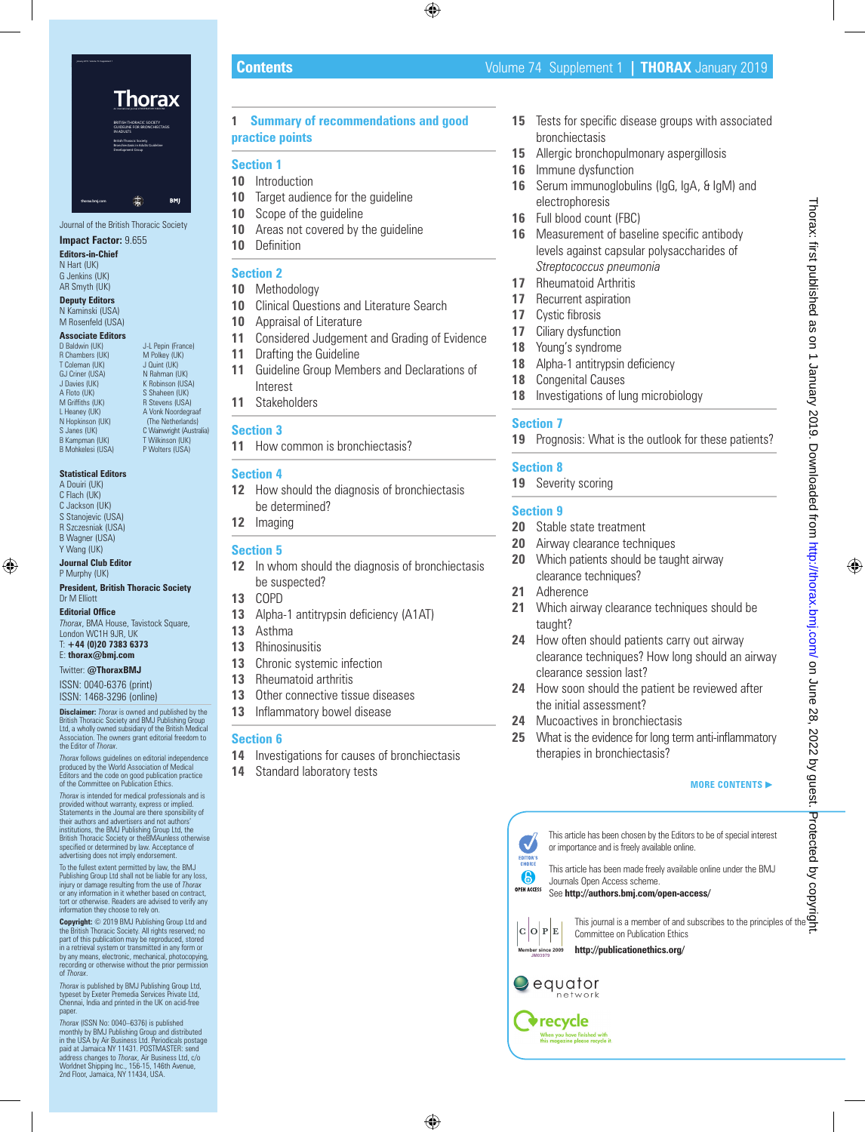

Journal of the British Thoracic Society

# **Impact Factor:** 9.655

**Editors-in-Chief** N Hart (UK) G Jenkins (UK) AR Smyth (UK)

**Deputy Editors** N Kaminski (USA) M Rosenfeld (USA)

# **Associate Editors**<br>D Baldwin (UK)

D Baldwin (UK) J-L Pepin (France)<br>
R Chambers (UK) M Polkey (UK)  $M$  Polkey (UK) T Coleman (UK)<br>GJ Criner (USA) GJ Criner (USA) N Rahman (UK)<br>
J Davies (UK) K Robinson (US. J Davies (UK) K Robinson (USA) A Floto (UK) S Shaheen (UK)<br>M Griffiths (UK) R Stevens (USA) M Griffiths (UK) R Stevens (USA)<br>
L Heaney (UK) A Vonk Noordegr L Heaney (UK) A Vonk Noordegraaf<br>
N Honkinson (UK) (The Netherlands) N Hopkinson (UK) (The Netherlands)<br>S Janes (UK) (C Wainwright (Austra C Wainwright (Australia)<br>T Wilkinson (UK) B Kampman (UK) B Mohkelesi (USA) P Wolters (USA)

#### **Statistical Editors**

A Douiri (UK) C Flach (UK) C Jackson (UK) S Stanojevic (USA) R Szczesniak (USA) B Wagner (USA) Y Wang (UK)

**Journal Club Editor** P Murnhy (UK)

#### **President, British Thoracic Society** Dr M Elliott

#### **Editorial Office**

*Thorax*, BMA House, Tavistock Square, London WC1H 9JR, UK T: **+44 (0)20 7383 6373**

# E: **thorax@bmj.com**

Twitter: **@ThoraxBMJ**

ISSN: 0040-6376 (print) ISSN: 1468-3296 (online)

**Disclaimer:** *Thorax* is owned and published by the British Thoracic Society and BMJ Publishing Group Ltd, a wholly owned subsidiary of the British Medical Association. The owners grant editorial freedom to the Editor of *Thorax*.

*Thorax* follows guidelines on editorial independence produced by the World Association of Medical Editors and the code on good publication practice of the Committee on Publication Ethics.

*Thorax* is intended for medical professionals and is provided without warranty, express or implied. Statements in the Journal are there sponsibility of their authors and advertisers and not authors' institutions, the BMJ Publishing Group Ltd, the British Thoracic Society or theBMAunless otherwise specified or determined by law. Acceptance of advertising does not imply endorsement.

To the fullest extent permitted by law, the BMJ Publishing Group Ltd shall not be liable for any loss, injury or damage resulting from the use of *Thorax* or any information in it whether based on contract, tort or otherwise. Readers are advised to verify any information they choose to rely on.

**Copyright:** © 2019 BMJ Publishing Group Ltd and the British Thoracic Society. All rights reserved; no part of this publication may be reproduced, stored in a retrieval system or transmitted in any form or<br>by any means, electronic, mechanical, photocopying by any means, electronic, mechanical, photocopying, recording or otherwise without the prior permission of *Thorax*.

*Thorax* is published by BMJ Publishing Group Ltd, typeset by Exeter Premedia Services Private Ltd, Chennai, India and printed in the UK on acid-free paper.

*Thorax* (ISSN No: 0040–6376) is published monthly by BMJ Publishing Group and distributed in the USA by Air Business Ltd. Periodicals postage paid at Jamaica NY 11431. POSTMASTER: send address changes to *Thorax*, Air Business Ltd, c/o<br>Worldnet Shipping Inc., 156-15, 146th Avenue,<br>2nd Floor, Jamaica, NY 11434, USA.

# **1 Summary of recommendations and good practice points**

# **Section 1**

- **10** Introduction
- **10** Target audience for the guideline
- **10** Scope of the guideline
- **10** Areas not covered by the guideline
- **10** Definition

# **Section 2**

- **10** Methodology
- **10** Clinical Questions and Literature Search
- **10** Appraisal of Literature
- **11** Considered Judgement and Grading of Evidence
- **11** Drafting the Guideline
- **11** Guideline Group Members and Declarations of Interest
- **11** Stakeholders

# **Section 3**

**11** How common is bronchiectasis?

# **Section 4**

- **12** How should the diagnosis of bronchiectasis be determined?
- **12** Imaging

# **Section 5**

- **12** In whom should the diagnosis of bronchiectasis be suspected?
- **13** COPD
- **13** Alpha-1 antitrypsin deficiency (A1AT)
- **13** Asthma
- **13** Rhinosinusitis
- 13 Chronic systemic infection
- **13** Rheumatoid arthritis
- **13** Other connective tissue diseases
- **13** Inflammatory bowel disease

# **Section 6**

- **14** Investigations for causes of bronchiectasis
- **14** Standard laboratory tests
- **15** Tests for specific disease groups with associated bronchiectasis
- **15** Allergic bronchopulmonary aspergillosis
- **16** Immune dysfunction
- **16** Serum immunoglobulins (IgG, IgA, & IgM) and electrophoresis
- **16** Full blood count (FBC)
- **16** Measurement of baseline specific antibody levels against capsular polysaccharides of *Streptococcus pneumonia*
- **17** Rheumatoid Arthritis
- **17** Recurrent aspiration
- **17** Cystic fibrosis
- **17** Ciliary dysfunction
- **18** Young's syndrome
- 18 Alpha-1 antitrypsin deficiency
- **18** Congenital Causes
- **18** Investigations of lung microbiology

# **Section 7**

**19** Prognosis: What is the outlook for these patients?

# **Section 8**

**19** Severity scoring

# **Section 9**

- **20** Stable state treatment
- **20** Airway clearance techniques
- **20** Which patients should be taught airway clearance techniques?
- **21** Adherence
- **21** Which airway clearance techniques should be taught?
- **24** How often should patients carry out airway clearance techniques? How long should an airway clearance session last?
- **24** How soon should the patient be reviewed after the initial assessment?
- **24** Mucoactives in bronchiectasis
- **25** What is the evidence for long term anti-inflammatory therapies in bronchiectasis?

# **MORE CONTENTS**



This article has been chosen by the Editors to be of special interest or importance and is freely available online.

This article has been made freely available online under the BMJ Journals Open Access scheme. See **http://authors.bmj.com/open-access/**

 $|C|O|P|E|$ 

This journal is a member of and subscribes to the principles of the Committee on Publication Ethics

**http://publicationethics.org/**



**Member since 2009 JM03979**

> **◆recycle** When you have finished with<br>this magazine please recycle it